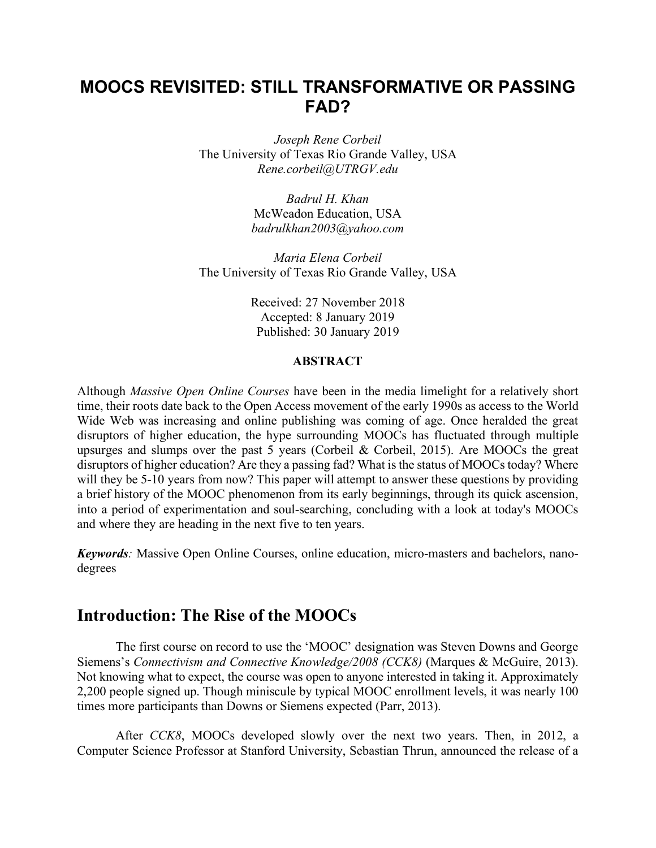# **MOOCS REVISITED: STILL TRANSFORMATIVE OR PASSING FAD?**

*Joseph Rene Corbeil* The University of Texas Rio Grande Valley, USA *Rene.corbeil@UTRGV.edu*

> *Badrul H. Khan* McWeadon Education, USA *badrulkhan2003@yahoo.com*

*Maria Elena Corbeil* The University of Texas Rio Grande Valley, USA

> Received: 27 November 2018 Accepted: 8 January 2019 Published: 30 January 2019

#### **ABSTRACT**

Although *Massive Open Online Courses* have been in the media limelight for a relatively short time, their roots date back to the Open Access movement of the early 1990s as access to the World Wide Web was increasing and online publishing was coming of age. Once heralded the great disruptors of higher education, the hype surrounding MOOCs has fluctuated through multiple upsurges and slumps over the past 5 years (Corbeil & Corbeil, 2015). Are MOOCs the great disruptors of higher education? Are they a passing fad? What is the status of MOOCs today? Where will they be 5-10 years from now? This paper will attempt to answer these questions by providing a brief history of the MOOC phenomenon from its early beginnings, through its quick ascension, into a period of experimentation and soul-searching, concluding with a look at today's MOOCs and where they are heading in the next five to ten years.

*Keywords:* Massive Open Online Courses, online education, micro-masters and bachelors, nanodegrees

#### **Introduction: The Rise of the MOOCs**

The first course on record to use the 'MOOC' designation was Steven Downs and George Siemens's *Connectivism and Connective Knowledge/2008 (CCK8)* (Marques & McGuire, 2013). Not knowing what to expect, the course was open to anyone interested in taking it. Approximately 2,200 people signed up. Though miniscule by typical MOOC enrollment levels, it was nearly 100 times more participants than Downs or Siemens expected (Parr, 2013).

After *CCK8*, MOOCs developed slowly over the next two years. Then, in 2012, a Computer Science Professor at Stanford University, Sebastian Thrun, announced the release of a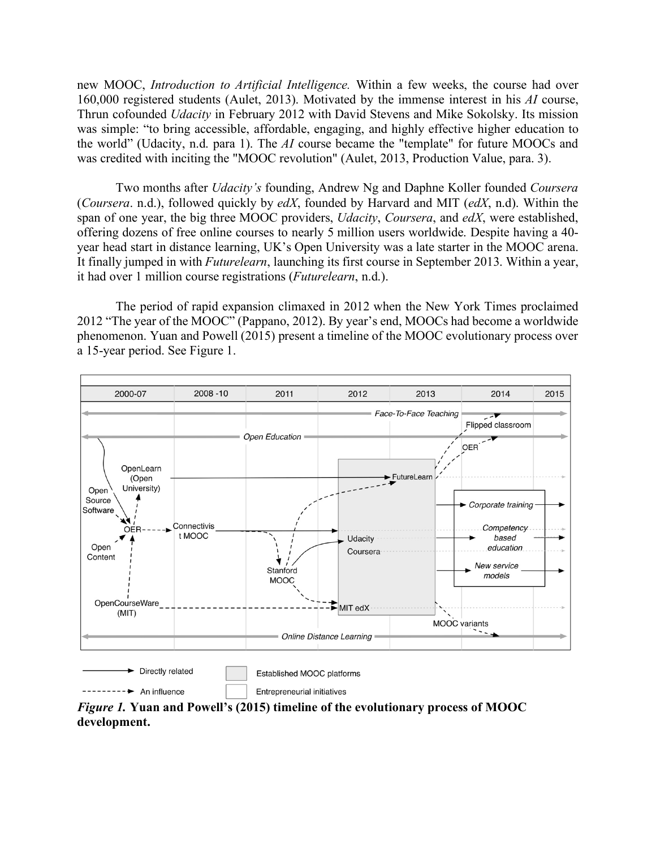new MOOC, *Introduction to Artificial Intelligence.* Within a few weeks, the course had over 160,000 registered students (Aulet, 2013). Motivated by the immense interest in his *AI* course, Thrun cofounded *Udacity* in February 2012 with David Stevens and Mike Sokolsky. Its mission was simple: "to bring accessible, affordable, engaging, and highly effective higher education to the world" (Udacity, n.d. para 1). The *AI* course became the "template" for future MOOCs and was credited with inciting the "MOOC revolution" (Aulet, 2013, Production Value, para. 3).

Two months after *Udacity's* founding, Andrew Ng and Daphne Koller founded *Coursera*  (*Coursera*. n.d.), followed quickly by *edX*, founded by Harvard and MIT (*edX*, n.d). Within the span of one year, the big three MOOC providers, *Udacity*, *Coursera*, and *edX*, were established, offering dozens of free online courses to nearly 5 million users worldwide. Despite having a 40 year head start in distance learning, UK's Open University was a late starter in the MOOC arena. It finally jumped in with *Futurelearn*, launching its first course in September 2013. Within a year, it had over 1 million course registrations (*Futurelearn*, n.d.).

The period of rapid expansion climaxed in 2012 when the New York Times proclaimed 2012 "The year of the MOOC" (Pappano, 2012). By year's end, MOOCs had become a worldwide phenomenon. Yuan and Powell (2015) present a timeline of the MOOC evolutionary process over a 15-year period. See Figure 1.



*Figure 1.* **Yuan and Powell's (2015) timeline of the evolutionary process of MOOC development.**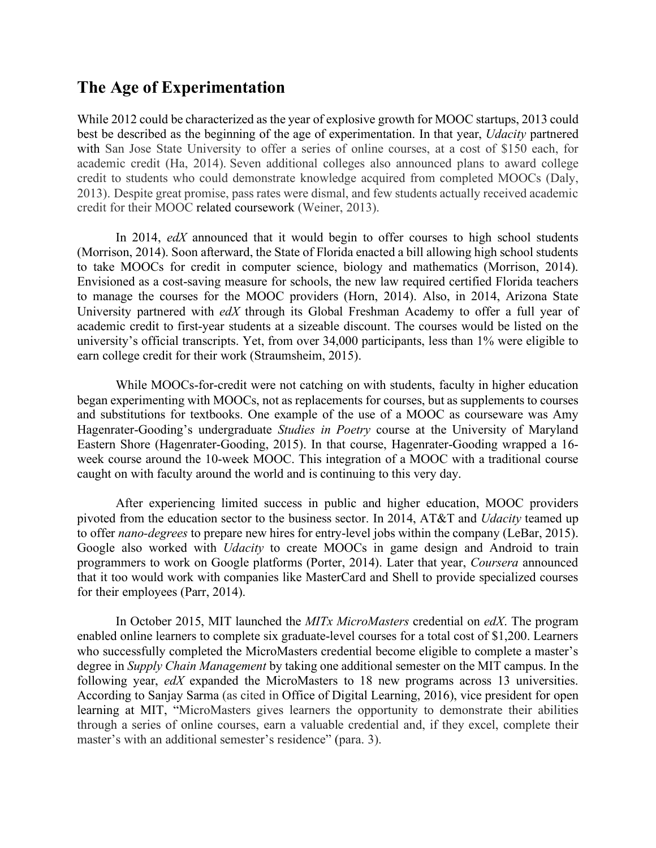# **The Age of Experimentation**

While 2012 could be characterized as the year of explosive growth for MOOC startups, 2013 could best be described as the beginning of the age of experimentation. In that year, *Udacity* partnered with San Jose State University to offer a series of online courses, at a cost of \$150 each, for academic credit (Ha, 2014). Seven additional colleges also announced plans to award college credit to students who could demonstrate knowledge acquired from completed MOOCs (Daly, 2013). Despite great promise, pass rates were dismal, and few students actually received academic credit for their MOOC related coursework (Weiner, 2013).

In 2014, *edX* announced that it would begin to offer courses to high school students (Morrison, 2014). Soon afterward, the State of Florida enacted a bill allowing high school students to take MOOCs for credit in computer science, biology and mathematics (Morrison, 2014). Envisioned as a cost-saving measure for schools, the new law required certified Florida teachers to manage the courses for the MOOC providers (Horn, 2014). Also, in 2014, Arizona State University partnered with *edX* through its Global Freshman Academy to offer a full year of academic credit to first-year students at a sizeable discount. The courses would be listed on the university's official transcripts. Yet, from over 34,000 participants, less than 1% were eligible to earn college credit for their work (Straumsheim, 2015).

While MOOCs-for-credit were not catching on with students, faculty in higher education began experimenting with MOOCs, not as replacements for courses, but as supplements to courses and substitutions for textbooks. One example of the use of a MOOC as courseware was Amy Hagenrater-Gooding's undergraduate *Studies in Poetry* course at the University of Maryland Eastern Shore (Hagenrater-Gooding, 2015). In that course, Hagenrater-Gooding wrapped a 16 week course around the 10-week MOOC. This integration of a MOOC with a traditional course caught on with faculty around the world and is continuing to this very day.

After experiencing limited success in public and higher education, MOOC providers pivoted from the education sector to the business sector. In 2014, AT&T and *Udacity* teamed up to offer *nano-degrees* to prepare new hires for entry-level jobs within the company (LeBar, 2015). Google also worked with *Udacity* to create MOOCs in game design and Android to train programmers to work on Google platforms (Porter, 2014). Later that year, *Coursera* announced that it too would work with companies like MasterCard and Shell to provide specialized courses for their employees (Parr, 2014).

In October 2015, MIT launched the *MITx MicroMasters* credential on *edX*. The program enabled online learners to complete six graduate-level courses for a total cost of \$1,200. Learners who successfully completed the MicroMasters credential become eligible to complete a master's degree in *Supply Chain Management* by taking one additional semester on the MIT campus. In the following year, *edX* expanded the MicroMasters to 18 new programs across 13 universities. According to Sanjay Sarma (as cited in Office of Digital Learning, 2016), vice president for open learning at MIT, "MicroMasters gives learners the opportunity to demonstrate their abilities through a series of online courses, earn a valuable credential and, if they excel, complete their master's with an additional semester's residence" (para. 3).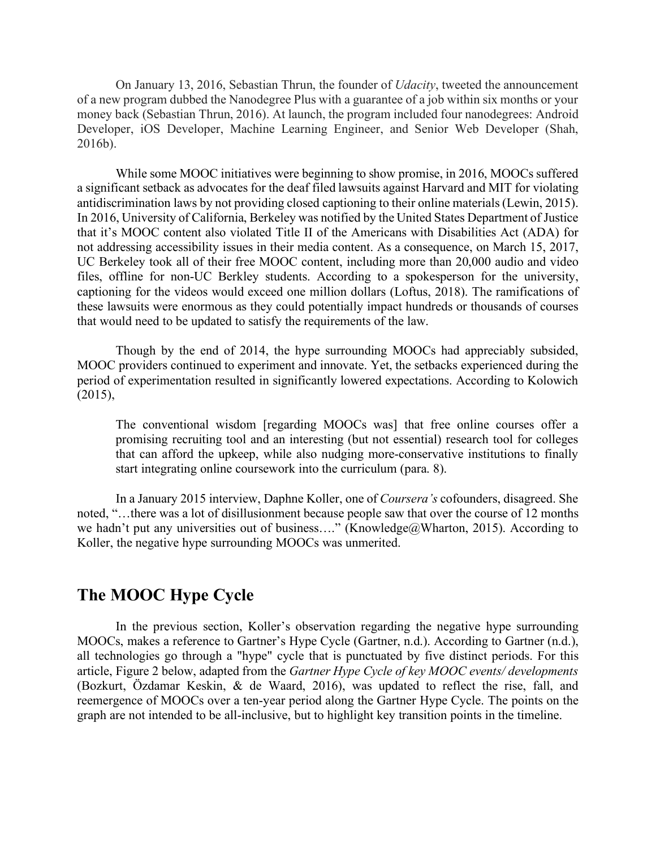On January 13, 2016, Sebastian Thrun, the founder of *Udacity*, tweeted the announcement of a new program dubbed the Nanodegree Plus with a guarantee of a job within six months or your money back (Sebastian Thrun, 2016). At launch, the program included four nanodegrees: Android Developer, iOS Developer, Machine Learning Engineer, and Senior Web Developer (Shah, 2016b).

While some MOOC initiatives were beginning to show promise, in 2016, MOOCs suffered a significant setback as advocates for the deaf filed lawsuits against Harvard and MIT for violating antidiscrimination laws by not providing closed captioning to their online materials (Lewin, 2015). In 2016, University of California, Berkeley was notified by the United States Department of Justice that it's MOOC content also violated Title II of the Americans with Disabilities Act (ADA) for not addressing accessibility issues in their media content. As a consequence, on March 15, 2017, UC Berkeley took all of their free MOOC content, including more than 20,000 audio and video files, offline for non-UC Berkley students. According to a spokesperson for the university, captioning for the videos would exceed one million dollars (Loftus, 2018). The ramifications of these lawsuits were enormous as they could potentially impact hundreds or thousands of courses that would need to be updated to satisfy the requirements of the law.

Though by the end of 2014, the hype surrounding MOOCs had appreciably subsided, MOOC providers continued to experiment and innovate. Yet, the setbacks experienced during the period of experimentation resulted in significantly lowered expectations. According to Kolowich  $(2015)$ ,

The conventional wisdom [regarding MOOCs was] that free online courses offer a promising recruiting tool and an interesting (but not essential) research tool for colleges that can afford the upkeep, while also nudging more-conservative institutions to finally start integrating online coursework into the curriculum (para. 8).

In a January 2015 interview, Daphne Koller, one of *Coursera's* cofounders, disagreed. She noted, "…there was a lot of disillusionment because people saw that over the course of 12 months we hadn't put any universities out of business...." (Knowledge@Wharton, 2015). According to Koller, the negative hype surrounding MOOCs was unmerited.

## **The MOOC Hype Cycle**

In the previous section, Koller's observation regarding the negative hype surrounding MOOCs, makes a reference to Gartner's Hype Cycle (Gartner, n.d.). According to Gartner (n.d.), all technologies go through a "hype" cycle that is punctuated by five distinct periods. For this article, Figure 2 below, adapted from the *Gartner Hype Cycle of key MOOC events/ developments* (Bozkurt, Özdamar Keskin, & de Waard, 2016), was updated to reflect the rise, fall, and reemergence of MOOCs over a ten-year period along the Gartner Hype Cycle. The points on the graph are not intended to be all-inclusive, but to highlight key transition points in the timeline.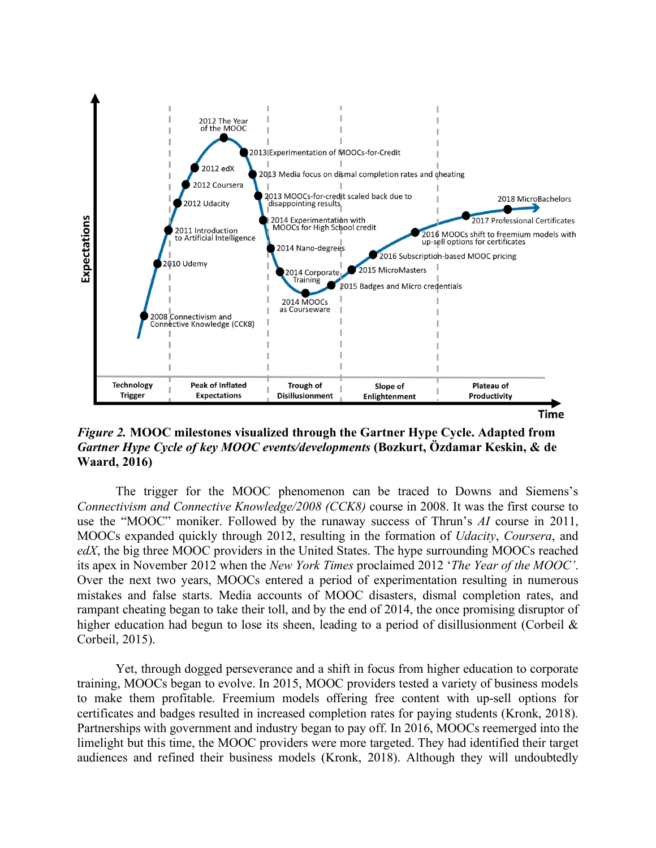

*Figure 2.* **MOOC milestones visualized through the Gartner Hype Cycle. Adapted from**  *Gartner Hype Cycle of key MOOC events/developments* **(Bozkurt, Özdamar Keskin, & de Waard, 2016)**

The trigger for the MOOC phenomenon can be traced to Downs and Siemens's *Connectivism and Connective Knowledge/2008 (CCK8)* course in 2008. It was the first course to use the "MOOC" moniker. Followed by the runaway success of Thrun's *AI* course in 2011, MOOCs expanded quickly through 2012, resulting in the formation of *Udacity*, *Coursera*, and *edX*, the big three MOOC providers in the United States. The hype surrounding MOOCs reached its apex in November 2012 when the *New York Times* proclaimed 2012 '*The Year of the MOOC'*. Over the next two years, MOOCs entered a period of experimentation resulting in numerous mistakes and false starts. Media accounts of MOOC disasters, dismal completion rates, and rampant cheating began to take their toll, and by the end of 2014, the once promising disruptor of higher education had begun to lose its sheen, leading to a period of disillusionment (Corbeil & Corbeil, 2015).

Yet, through dogged perseverance and a shift in focus from higher education to corporate training, MOOCs began to evolve. In 2015, MOOC providers tested a variety of business models to make them profitable. Freemium models offering free content with up-sell options for certificates and badges resulted in increased completion rates for paying students (Kronk, 2018). Partnerships with government and industry began to pay off. In 2016, MOOCs reemerged into the limelight but this time, the MOOC providers were more targeted. They had identified their target audiences and refined their business models (Kronk, 2018). Although they will undoubtedly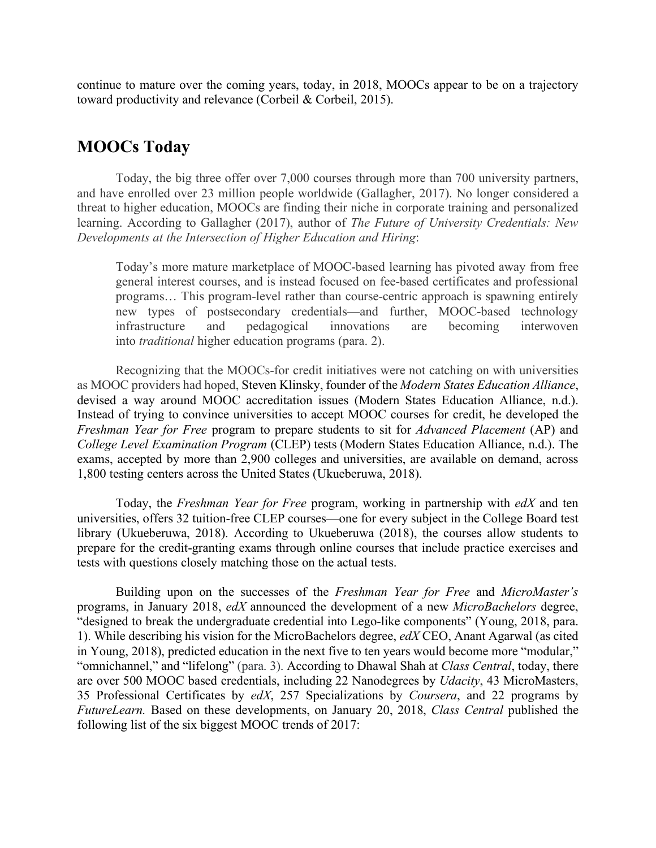continue to mature over the coming years, today, in 2018, MOOCs appear to be on a trajectory toward productivity and relevance (Corbeil & Corbeil, 2015).

### **MOOCs Today**

Today, the big three offer over 7,000 courses through more than 700 university partners, and have enrolled over 23 million people worldwide (Gallagher, 2017). No longer considered a threat to higher education, MOOCs are finding their niche in corporate training and personalized learning. According to Gallagher (2017), author of *The Future of University Credentials: New Developments at the Intersection of Higher Education and Hiring*:

Today's more mature marketplace of MOOC-based learning has pivoted away from free general interest courses, and is instead focused on fee-based certificates and professional programs… This program-level rather than course-centric approach is spawning entirely new types of postsecondary credentials—and further, MOOC-based technology infrastructure and pedagogical innovations are becoming interwoven into *traditional* higher education programs (para. 2).

Recognizing that the MOOCs-for credit initiatives were not catching on with universities as MOOC providers had hoped, Steven Klinsky, founder of the *Modern States Education Alliance*, devised a way around MOOC accreditation issues (Modern States Education Alliance, n.d.). Instead of trying to convince universities to accept MOOC courses for credit, he developed the *Freshman Year for Free* program to prepare students to sit for *Advanced Placement* (AP) and *College Level Examination Program* (CLEP) tests (Modern States Education Alliance, n.d.). The exams, accepted by more than 2,900 colleges and universities, are available on demand, across 1,800 testing centers across the United States (Ukueberuwa, 2018).

Today, the *Freshman Year for Free* program, working in partnership with *edX* and ten universities, offers 32 tuition-free CLEP courses—one for every subject in the College Board test library (Ukueberuwa, 2018). According to Ukueberuwa (2018), the courses allow students to prepare for the credit-granting exams through online courses that include practice exercises and tests with questions closely matching those on the actual tests.

Building upon on the successes of the *Freshman Year for Free* and *MicroMaster's* programs, in January 2018, *edX* announced the development of a new *MicroBachelors* degree, "designed to break the undergraduate credential into Lego-like components" (Young, 2018, para. 1). While describing his vision for the MicroBachelors degree, *edX* CEO, Anant Agarwal (as cited in Young, 2018), predicted education in the next five to ten years would become more "modular," "omnichannel," and "lifelong" (para. 3). According to Dhawal Shah at *Class Central*, today, there are over 500 MOOC based credentials, including 22 Nanodegrees by *Udacity*, 43 MicroMasters, 35 Professional Certificates by *edX*, 257 Specializations by *Coursera*, and 22 programs by *FutureLearn.* Based on these developments, on January 20, 2018, *Class Central* published the following list of the six biggest MOOC trends of 2017: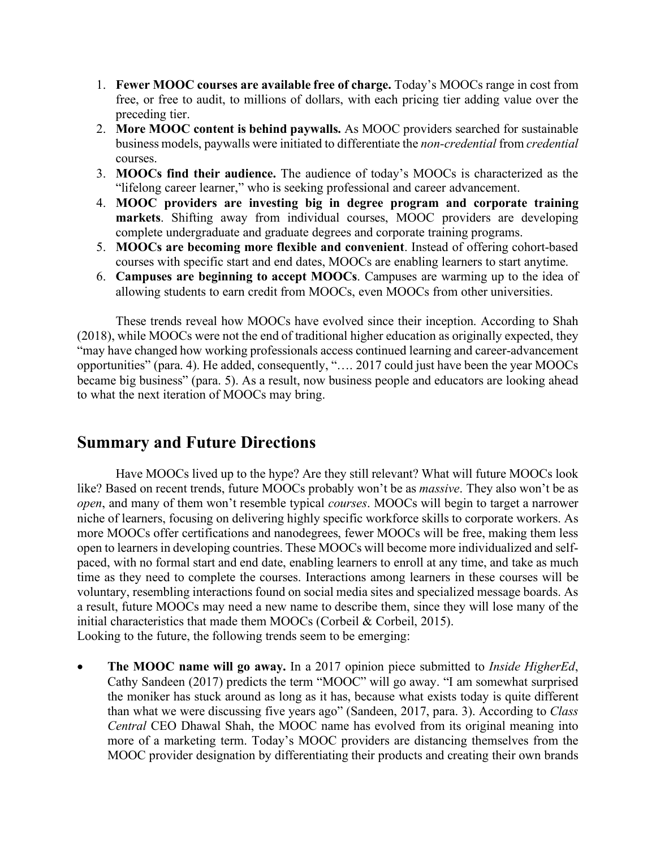- 1. **Fewer MOOC courses are available free of charge.** Today's MOOCs range in cost from free, or free to audit, to millions of dollars, with each pricing tier adding value over the preceding tier.
- 2. **More MOOC content is behind paywalls.** As MOOC providers searched for sustainable business models, paywalls were initiated to differentiate the *non-credential* from *credential* courses.
- 3. **MOOCs find their audience.** The audience of today's MOOCs is characterized as the "lifelong career learner," who is seeking professional and career advancement.
- 4. **MOOC providers are investing big in degree program and corporate training markets**. Shifting away from individual courses, MOOC providers are developing complete undergraduate and graduate degrees and corporate training programs.
- 5. **MOOCs are becoming more flexible and convenient**. Instead of offering cohort-based courses with specific start and end dates, MOOCs are enabling learners to start anytime.
- 6. **Campuses are beginning to accept MOOCs**. Campuses are warming up to the idea of allowing students to earn credit from MOOCs, even MOOCs from other universities.

These trends reveal how MOOCs have evolved since their inception. According to Shah (2018), while MOOCs were not the end of traditional higher education as originally expected, they "may have changed how working professionals access continued learning and career-advancement opportunities" (para. 4). He added, consequently, "…. 2017 could just have been the year MOOCs became big business" (para. 5). As a result, now business people and educators are looking ahead to what the next iteration of MOOCs may bring.

## **Summary and Future Directions**

Have MOOCs lived up to the hype? Are they still relevant? What will future MOOCs look like? Based on recent trends, future MOOCs probably won't be as *massive*. They also won't be as *open*, and many of them won't resemble typical *courses*. MOOCs will begin to target a narrower niche of learners, focusing on delivering highly specific workforce skills to corporate workers. As more MOOCs offer certifications and nanodegrees, fewer MOOCs will be free, making them less open to learners in developing countries. These MOOCs will become more individualized and selfpaced, with no formal start and end date, enabling learners to enroll at any time, and take as much time as they need to complete the courses. Interactions among learners in these courses will be voluntary, resembling interactions found on social media sites and specialized message boards. As a result, future MOOCs may need a new name to describe them, since they will lose many of the initial characteristics that made them MOOCs (Corbeil & Corbeil, 2015). Looking to the future, the following trends seem to be emerging:

• **The MOOC name will go away.** In a 2017 opinion piece submitted to *Inside HigherEd*, Cathy Sandeen (2017) predicts the term "MOOC" will go away. "I am somewhat surprised the moniker has stuck around as long as it has, because what exists today is quite different than what we were discussing five years ago" (Sandeen, 2017, para. 3). According to *Class Central* CEO Dhawal Shah, the MOOC name has evolved from its original meaning into more of a marketing term. Today's MOOC providers are distancing themselves from the MOOC provider designation by differentiating their products and creating their own brands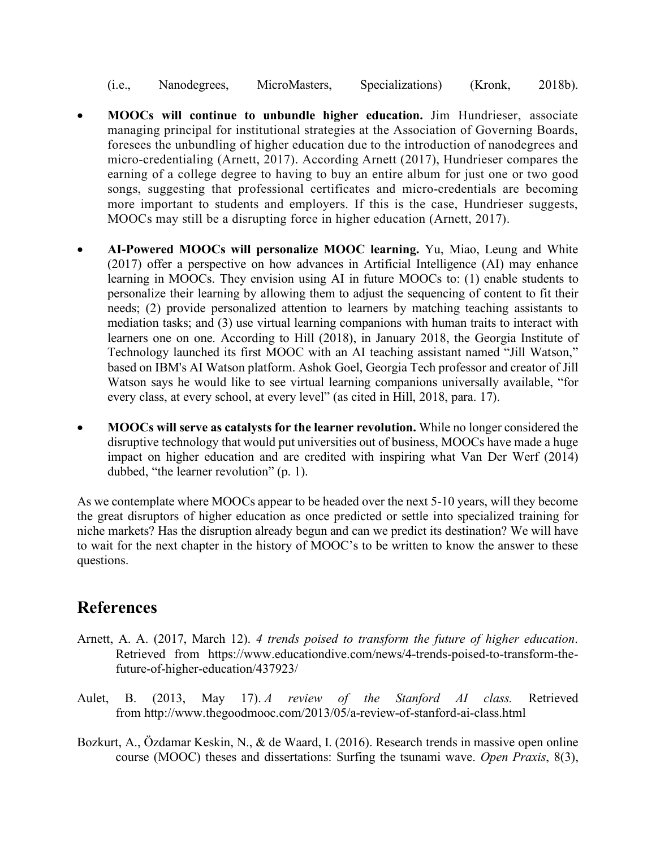- (i.e., Nanodegrees, MicroMasters, Specializations) (Kronk, 2018b).
- **MOOCs will continue to unbundle higher education.** Jim Hundrieser, associate managing principal for institutional strategies at the Association of Governing Boards, foresees the unbundling of higher education due to the introduction of nanodegrees and micro-credentialing (Arnett, 2017). According Arnett (2017), Hundrieser compares the earning of a college degree to having to buy an entire album for just one or two good songs, suggesting that professional certificates and micro-credentials are becoming more important to students and employers. If this is the case, Hundrieser suggests, MOOCs may still be a disrupting force in higher education (Arnett, 2017).
- **AI-Powered MOOCs will personalize MOOC learning.** Yu, Miao, Leung and White (2017) offer a perspective on how advances in Artificial Intelligence (AI) may enhance learning in MOOCs. They envision using AI in future MOOCs to: (1) enable students to personalize their learning by allowing them to adjust the sequencing of content to fit their needs; (2) provide personalized attention to learners by matching teaching assistants to mediation tasks; and (3) use virtual learning companions with human traits to interact with learners one on one. According to Hill (2018), in January 2018, the Georgia Institute of Technology launched its first MOOC with an AI teaching assistant named "Jill Watson," based on IBM's AI Watson platform. Ashok Goel, Georgia Tech professor and creator of Jill Watson says he would like to see virtual learning companions universally available, "for every class, at every school, at every level" (as cited in Hill, 2018, para. 17).
- **MOOCs will serve as catalysts for the learner revolution.** While no longer considered the disruptive technology that would put universities out of business, MOOCs have made a huge impact on higher education and are credited with inspiring what Van Der Werf (2014) dubbed, "the learner revolution" (p. 1).

As we contemplate where MOOCs appear to be headed over the next 5-10 years, will they become the great disruptors of higher education as once predicted or settle into specialized training for niche markets? Has the disruption already begun and can we predict its destination? We will have to wait for the next chapter in the history of MOOC's to be written to know the answer to these questions.

## **References**

- Arnett, A. A. (2017, March 12). *4 trends poised to transform the future of higher education*. Retrieved from https://www.educationdive.com/news/4-trends-poised-to-transform-thefuture-of-higher-education/437923/
- Aulet, B. (2013, May 17). *A review of the Stanford AI class.* Retrieved from http://www.thegoodmooc.com/2013/05/a-review-of-stanford-ai-class.html
- Bozkurt, A., Özdamar Keskin, N., & de Waard, I. (2016). Research trends in massive open online course (MOOC) theses and dissertations: Surfing the tsunami wave. *Open Praxis*, 8(3),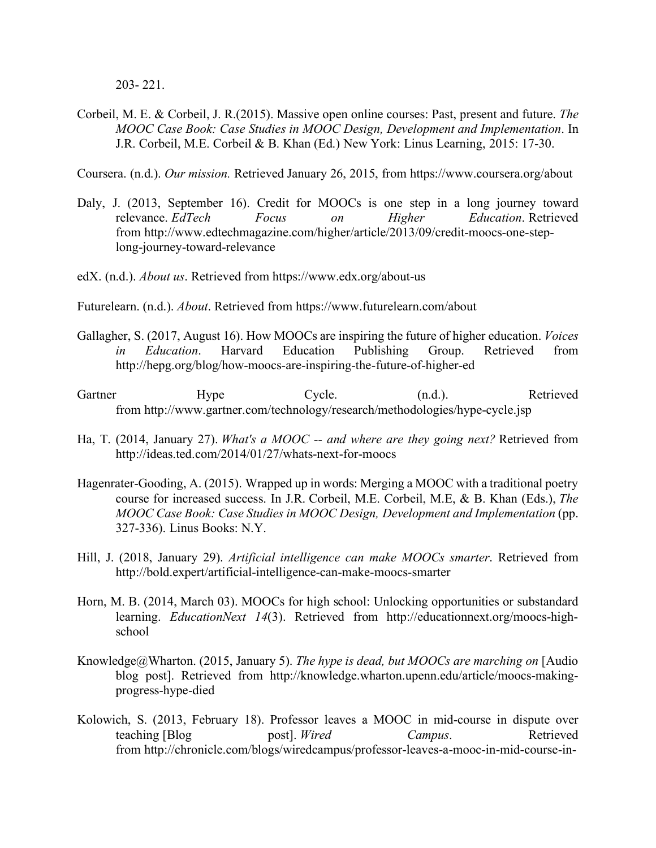203- 221.

Corbeil, M. E. & Corbeil, J. R.(2015). Massive open online courses: Past, present and future. *The MOOC Case Book: Case Studies in MOOC Design, Development and Implementation*. In J.R. Corbeil, M.E. Corbeil & B. Khan (Ed.) New York: Linus Learning, 2015: 17-30.

Coursera. (n.d.). *Our mission.* Retrieved January 26, 2015, from https://www.coursera.org/about

- Daly, J. (2013, September 16). Credit for MOOCs is one step in a long journey toward relevance. *EdTech Focus on Higher Education*. Retrieved from http://www.edtechmagazine.com/higher/article/2013/09/credit-moocs-one-steplong-journey-toward-relevance
- edX. (n.d.). *About us*. Retrieved from https://www.edx.org/about-us
- Futurelearn. (n.d.). *About*. Retrieved from https://www.futurelearn.com/about
- Gallagher, S. (2017, August 16). How MOOCs are inspiring the future of higher education. *Voices in Education*. Harvard Education Publishing Group. Retrieved from http://hepg.org/blog/how-moocs-are-inspiring-the-future-of-higher-ed
- Gartner Hype Cycle. (n.d.). Retrieved from http://www.gartner.com/technology/research/methodologies/hype-cycle.jsp
- Ha, T. (2014, January 27). *What's a MOOC -- and where are they going next?* Retrieved from http://ideas.ted.com/2014/01/27/whats-next-for-moocs
- Hagenrater-Gooding, A. (2015). Wrapped up in words: Merging a MOOC with a traditional poetry course for increased success. In J.R. Corbeil, M.E. Corbeil, M.E, & B. Khan (Eds.), *The MOOC Case Book: Case Studies in MOOC Design, Development and Implementation* (pp. 327-336). Linus Books: N.Y.
- Hill, J. (2018, January 29). *Artificial intelligence can make MOOCs smarter*. Retrieved from http://bold.expert/artificial-intelligence-can-make-moocs-smarter
- Horn, M. B. (2014, March 03). MOOCs for high school: Unlocking opportunities or substandard learning. *EducationNext 14*(3). Retrieved from http://educationnext.org/moocs-highschool
- Knowledge@Wharton. (2015, January 5). *The hype is dead, but MOOCs are marching on* [Audio blog post]. Retrieved from http://knowledge.wharton.upenn.edu/article/moocs-makingprogress-hype-died
- Kolowich, S. (2013, February 18). Professor leaves a MOOC in mid-course in dispute over teaching [Blog post]. *Wired Campus*. Retrieved from http://chronicle.com/blogs/wiredcampus/professor-leaves-a-mooc-in-mid-course-in-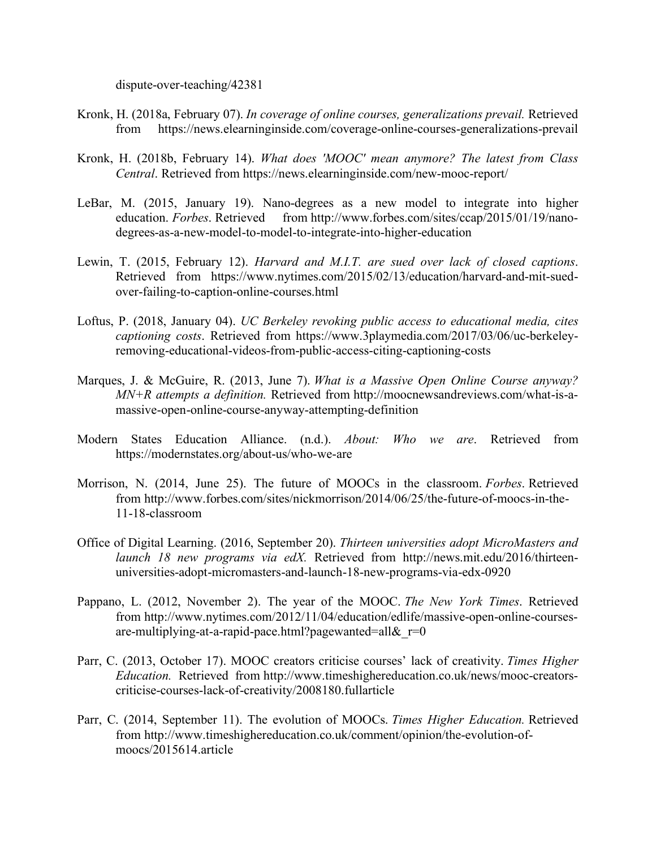dispute-over-teaching/42381

- Kronk, H. (2018a, February 07). *In coverage of online courses, generalizations prevail.* Retrieved from https://news.elearninginside.com/coverage-online-courses-generalizations-prevail
- Kronk, H. (2018b, February 14). *What does 'MOOC' mean anymore? The latest from Class Central*. Retrieved from https://news.elearninginside.com/new-mooc-report/
- LeBar, M. (2015, January 19). Nano-degrees as a new model to integrate into higher education. *Forbes*. Retrieved from http://www.forbes.com/sites/ccap/2015/01/19/nanodegrees-as-a-new-model-to-model-to-integrate-into-higher-education
- Lewin, T. (2015, February 12). *Harvard and M.I.T. are sued over lack of closed captions*. Retrieved from https://www.nytimes.com/2015/02/13/education/harvard-and-mit-suedover-failing-to-caption-online-courses.html
- Loftus, P. (2018, January 04). *UC Berkeley revoking public access to educational media, cites captioning costs*. Retrieved from https://www.3playmedia.com/2017/03/06/uc-berkeleyremoving-educational-videos-from-public-access-citing-captioning-costs
- Marques, J. & McGuire, R. (2013, June 7). *What is a Massive Open Online Course anyway? MN+R attempts a definition.* Retrieved from http://moocnewsandreviews.com/what-is-amassive-open-online-course-anyway-attempting-definition
- Modern States Education Alliance. (n.d.). *About: Who we are*. Retrieved from https://modernstates.org/about-us/who-we-are
- Morrison, N. (2014, June 25). The future of MOOCs in the classroom. *Forbes*. Retrieved from http://www.forbes.com/sites/nickmorrison/2014/06/25/the-future-of-moocs-in-the-11-18-classroom
- Office of Digital Learning. (2016, September 20). *Thirteen universities adopt MicroMasters and launch 18 new programs via edX.* Retrieved from http://news.mit.edu/2016/thirteenuniversities-adopt-micromasters-and-launch-18-new-programs-via-edx-0920
- Pappano, L. (2012, November 2). The year of the MOOC. *The New York Times*. Retrieved from http://www.nytimes.com/2012/11/04/education/edlife/massive-open-online-coursesare-multiplying-at-a-rapid-pace.html?pagewanted=all& $r=0$
- Parr, C. (2013, October 17). MOOC creators criticise courses' lack of creativity. *Times Higher Education.* Retrieved from http://www.timeshighereducation.co.uk/news/mooc-creatorscriticise-courses-lack-of-creativity/2008180.fullarticle
- Parr, C. (2014, September 11). The evolution of MOOCs. *Times Higher Education.* Retrieved from http://www.timeshighereducation.co.uk/comment/opinion/the-evolution-ofmoocs/2015614.article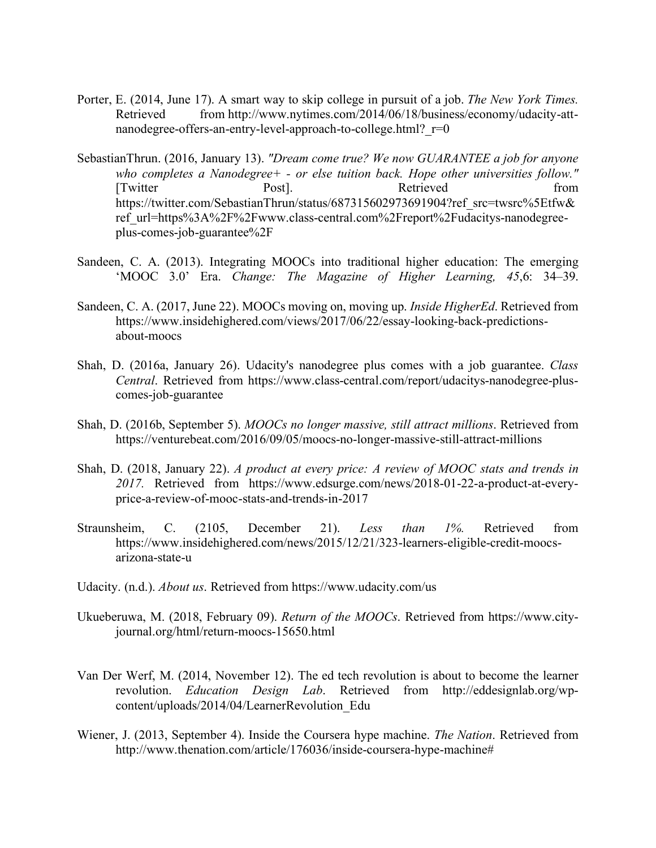- Porter, E. (2014, June 17). A smart way to skip college in pursuit of a job. *The New York Times.* Retrieved from http://www.nytimes.com/2014/06/18/business/economy/udacity-attnanodegree-offers-an-entry-level-approach-to-college.html? r=0
- SebastianThrun. (2016, January 13). *"Dream come true? We now GUARANTEE a job for anyone who completes a Nanodegree+ - or else tuition back. Hope other universities follow."* [Twitter Post]. Post]. Retrieved from https://twitter.com/SebastianThrun/status/687315602973691904?ref\_src=twsrc%5Etfw& ref\_url=https%3A%2F%2Fwww.class-central.com%2Freport%2Fudacitys-nanodegreeplus-comes-job-guarantee%2F
- Sandeen, C. A. (2013). Integrating MOOCs into traditional higher education: The emerging 'MOOC 3.0' Era. *Change: The Magazine of Higher Learning, 45*,6: 34–39.
- Sandeen, C. A. (2017, June 22). MOOCs moving on, moving up. *Inside HigherEd*. Retrieved from https://www.insidehighered.com/views/2017/06/22/essay-looking-back-predictionsabout-moocs
- Shah, D. (2016a, January 26). Udacity's nanodegree plus comes with a job guarantee. *Class Central*. Retrieved from https://www.class-central.com/report/udacitys-nanodegree-pluscomes-job-guarantee
- Shah, D. (2016b, September 5). *MOOCs no longer massive, still attract millions*. Retrieved from https://venturebeat.com/2016/09/05/moocs-no-longer-massive-still-attract-millions
- Shah, D. (2018, January 22). *A product at every price: A review of MOOC stats and trends in 2017.* Retrieved from https://www.edsurge.com/news/2018-01-22-a-product-at-everyprice-a-review-of-mooc-stats-and-trends-in-2017
- Straunsheim, C. (2105, December 21). *Less than 1%.* Retrieved from https://www.insidehighered.com/news/2015/12/21/323-learners-eligible-credit-moocsarizona-state-u
- Udacity. (n.d.). *About us*. Retrieved from https://www.udacity.com/us
- Ukueberuwa, M. (2018, February 09). *Return of the MOOCs*. Retrieved from https://www.cityjournal.org/html/return-moocs-15650.html
- Van Der Werf, M. (2014, November 12). The ed tech revolution is about to become the learner revolution. *Education Design Lab*. Retrieved from http://eddesignlab.org/wpcontent/uploads/2014/04/LearnerRevolution\_Edu
- Wiener, J. (2013, September 4). Inside the Coursera hype machine. *The Nation*. Retrieved from http://www.thenation.com/article/176036/inside-coursera-hype-machine#